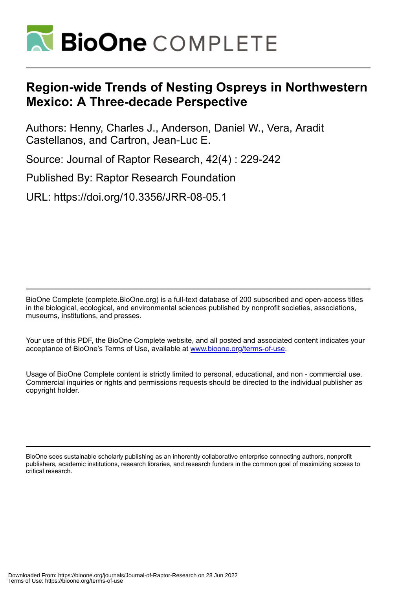

# **Region-wide Trends of Nesting Ospreys in Northwestern Mexico: A Three-decade Perspective**

Authors: Henny, Charles J., Anderson, Daniel W., Vera, Aradit Castellanos, and Cartron, Jean-Luc E.

Source: Journal of Raptor Research, 42(4) : 229-242

Published By: Raptor Research Foundation

URL: https://doi.org/10.3356/JRR-08-05.1

BioOne Complete (complete.BioOne.org) is a full-text database of 200 subscribed and open-access titles in the biological, ecological, and environmental sciences published by nonprofit societies, associations, museums, institutions, and presses.

Your use of this PDF, the BioOne Complete website, and all posted and associated content indicates your acceptance of BioOne's Terms of Use, available at www.bioone.org/terms-of-use.

Usage of BioOne Complete content is strictly limited to personal, educational, and non - commercial use. Commercial inquiries or rights and permissions requests should be directed to the individual publisher as copyright holder.

BioOne sees sustainable scholarly publishing as an inherently collaborative enterprise connecting authors, nonprofit publishers, academic institutions, research libraries, and research funders in the common goal of maximizing access to critical research.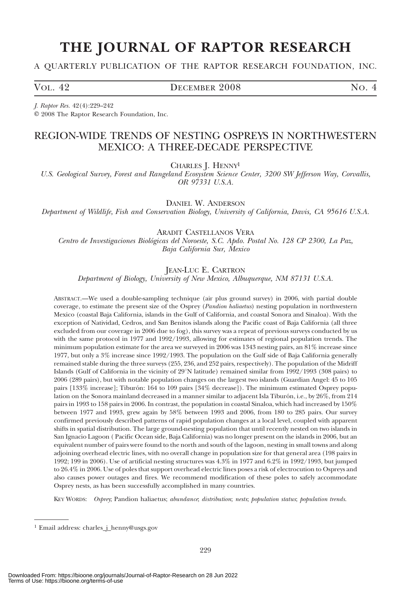# THE JOURNAL OF RAPTOR RESEARCH

## A QUARTERLY PUBLICATION OF THE RAPTOR RESEARCH FOUNDATION, INC.

VOL. 42 DECEMBER 2008 NO. 4

J. Raptor Res. 42(4):229–242 E 2008 The Raptor Research Foundation, Inc.

## REGION-WIDE TRENDS OF NESTING OSPREYS IN NORTHWESTERN MEXICO: A THREE-DECADE PERSPECTIVE

CHARLES J. HENNY<sup>1</sup>

U.S. Geological Survey, Forest and Rangeland Ecosystem Science Center, 3200 SW Jefferson Way, Corvallis, OR 97331 U.S.A.

DANIEL W. ANDERSON

Department of Wildlife, Fish and Conservation Biology, University of California, Davis, CA 95616 U.S.A.

ARADIT CASTELLANOS VERA

Centro de Investigaciones Biológicas del Noroeste, S.C. Apdo. Postal No. 128 CP 2300, La Paz, Baja California Sur, Mexico

JEAN-LUC E. CARTRON

Department of Biology, University of New Mexico, Albuquerque, NM 87131 U.S.A.

ABSTRACT.—We used a double-sampling technique (air plus ground survey) in 2006, with partial double coverage, to estimate the present size of the Osprey (Pandion haliaetus) nesting population in northwestern Mexico (coastal Baja California, islands in the Gulf of California, and coastal Sonora and Sinaloa). With the exception of Natividad, Cedros, and San Benitos islands along the Pacific coast of Baja California (all three excluded from our coverage in 2006 due to fog), this survey was a repeat of previous surveys conducted by us with the same protocol in 1977 and 1992/1993, allowing for estimates of regional population trends. The minimum population estimate for the area we surveyed in 2006 was 1343 nesting pairs, an 81% increase since 1977, but only a 3% increase since 1992/1993. The population on the Gulf side of Baja California generally remained stable during the three surveys (255, 236, and 252 pairs, respectively). The population of the Midriff Islands (Gulf of California in the vicinity of 29°N latitude) remained similar from 1992/1993 (308 pairs) to 2006 (289 pairs), but with notable population changes on the largest two islands (Guardian Angel: 45 to 105 pairs [133% increase]; Tiburón: 164 to 109 pairs [34% decrease]). The minimum estimated Osprey population on the Sonora mainland decreased in a manner similar to adjacent Isla Tiburón, i.e., by 26%, from 214 pairs in 1993 to 158 pairs in 2006. In contrast, the population in coastal Sinaloa, which had increased by 150% between 1977 and 1993, grew again by 58% between 1993 and 2006, from 180 to 285 pairs. Our survey confirmed previously described patterns of rapid population changes at a local level, coupled with apparent shifts in spatial distribution. The large ground-nesting population that until recently nested on two islands in San Ignacio Lagoon ( Pacific Ocean side, Baja California) was no longer present on the islands in 2006, but an equivalent number of pairs were found to the north and south of the lagoon, nesting in small towns and along adjoining overhead electric lines, with no overall change in population size for that general area (198 pairs in 1992; 199 in 2006). Use of artificial nesting structures was 4.3% in 1977 and 6.2% in 1992/1993, but jumped to 26.4% in 2006. Use of poles that support overhead electric lines poses a risk of electrocution to Ospreys and also causes power outages and fires. We recommend modification of these poles to safely accommodate Osprey nests, as has been successfully accomplished in many countries.

KEY WORDS: Osprey; Pandion haliaetus; abundance; distribution; nests; population status; population trends.

<sup>1</sup> Email address: charles\_j\_henny@usgs.gov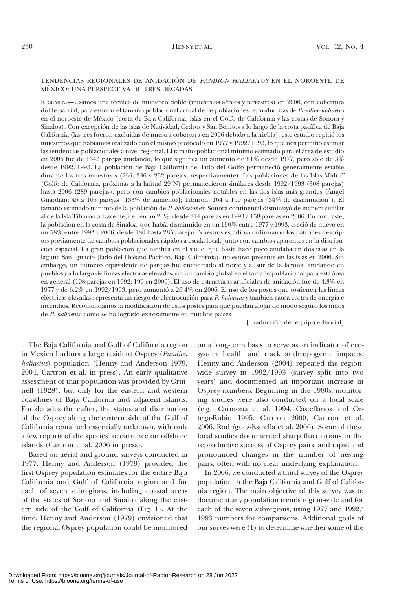### TENDENCIAS REGIONALES DE ANIDACIÓN DE PANDION HALIAETUS EN EL NOROESTE DE MÉXICO: UNA PERSPECTIVA DE TRES DÉCADAS

RESUMEN.—Usamos una técnica de muestreo doble (muestreos aéreos y terrestres) en 2006, con cobertura doble parcial, para estimar el tamaño poblacional actual de las poblaciones reproductivas de Pandion haliaetus en el noroeste de Me´xico (costa de Baja California, islas en el Golfo de California y las costas de Sonora y Sinaloa). Con excepción de las islas de Natividad, Cedros y San Benitos a lo largo de la costa pacífica de Baja California (las tres fueron excluidas de nuestra cobertura en 2006 debido a la niebla), este estudio repitio´ los muestreos que habíamos realizado con el mismo protocolo en 1977 y 1992/1993, lo que nos permitió estimar las tendencias poblacionales a nivel regional. El tamaño poblacional mínimo estimado para el área de estudio en 2006 fue de 1343 parejas anidando, lo que significa un aumento de 81% desde 1977, pero sólo de 3% desde 1992/1993. La población de Baja California del lado del Golfo permaneció generalmente estable durante los tres muestreos (255, 236 y 252 parejas, respectivamente). Las poblaciones de las Islas Midriff (Golfo de California, próximas a la latitud 29°N) permanecieron similares desde 1992/1993 (308 parejas) hasta 2006 (289 parejas), pero con cambios poblacionales notables en las dos islas más grandes (Ángel Guardián: 45 a 105 parejas [133% de aumento]; Tiburón: 164 a 109 parejas [34% de disminución]). El tamaño estimado mínimo de la población de P. haliaetus en Sonora continental disminuyó de manera similar al de la Isla Tiburón adyacente, i.e., en un 26%, desde 214 parejas en 1993 a 158 parejas en 2006. En contraste, la población en la costa de Sinaloa, que había disminuido en un 150% entre 1977 y 1993, creció de nuevo en un 58% entre 1993 y 2006, desde 180 hasta 285 parejas. Nuestros estudios confirmaron los patrones descriptos previamente de cambios poblacionales rápidos a escala local, junto con cambios aparentes en la distribución espacial. La gran población que nidifica en el suelo, que hasta hace poco anidaba en dos islas en la laguna San Ignacio (lado del Océano Pacífico, Baja California), no estuvo presente en las islas en 2006. Sin embargo, un número equivalente de parejas fue encontrado al norte y al sur de la laguna, anidando en pueblos y a lo largo de líneas eléctricas elevadas, sin un cambio global en el tamaño poblacional para esta área en general (198 parejas en 1992; 199 en 2006). El uso de estructuras artificiales de anidación fue de 4.3% en 1977 y de 6.2% en 1992/1993, pero aumentó a 26.4% en 2006. El uso de los postes que sostienen las líneas eléctricas elevadas representa un riesgo de electrocución para P. haliaetus y también causa cortes de energía e incendios. Recomendamos la modificación de estos postes para que puedan alojar de modo seguro los nidos de P. haliaetus, como se ha logrado exitosamente en muchos países.

[Traducción del equipo editorial]

The Baja California and Gulf of California region in Mexico harbors a large resident Osprey (Pandion haliaetus) population (Henny and Anderson 1979, 2004, Cartron et al. in press). An early qualitative assessment of that population was provided by Grinnell (1928), but only for the eastern and western coastlines of Baja California and adjacent islands. For decades thereafter, the status and distribution of the Osprey along the eastern side of the Gulf of California remained essentially unknown, with only a few reports of the species' occurrence on offshore islands (Cartron et al. 2006 in press).

Based on aerial and ground surveys conducted in 1977, Henny and Anderson (1979) provided the first Osprey population estimates for the entire Baja California and Gulf of California region and for each of seven subregions, including coastal areas of the states of Sonora and Sinaloa along the eastern side of the Gulf of California (Fig. 1). At the time, Henny and Anderson (1979) envisioned that the regional Osprey population could be monitored on a long-term basis to serve as an indicator of ecosystem health and track anthropogenic impacts. Henny and Anderson (2004) repeated the regionwide survey in 1992/1993 (survey split into two years) and documented an important increase in Osprey numbers. Beginning in the 1980s, monitoring studies were also conducted on a local scale (e.g., Carmona et al. 1994, Castellanos and Ortega-Rubio 1995, Cartron 2000, Cartron et al. 2006, Rodríguez-Estrella et al. 2006). Some of these local studies documented sharp fluctuations in the reproductive success of Osprey pairs, and rapid and pronounced changes in the number of nesting pairs, often with no clear underlying explanation.

In 2006, we conducted a third survey of the Osprey population in the Baja California and Gulf of California region. The main objective of this survey was to document any population trends region-wide and for each of the seven subregions, using 1977 and 1992/ 1993 numbers for comparisons. Additional goals of our survey were (1) to determine whether some of the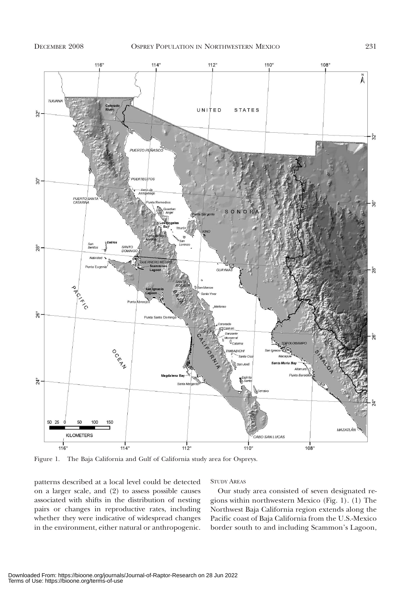

Figure 1. The Baja California and Gulf of California study area for Ospreys.

patterns described at a local level could be detected on a larger scale, and (2) to assess possible causes associated with shifts in the distribution of nesting pairs or changes in reproductive rates, including whether they were indicative of widespread changes in the environment, either natural or anthropogenic.

### STUDY AREAS

Our study area consisted of seven designated regions within northwestern Mexico (Fig. 1). (1) The Northwest Baja California region extends along the Pacific coast of Baja California from the U.S.-Mexico border south to and including Scammon's Lagoon,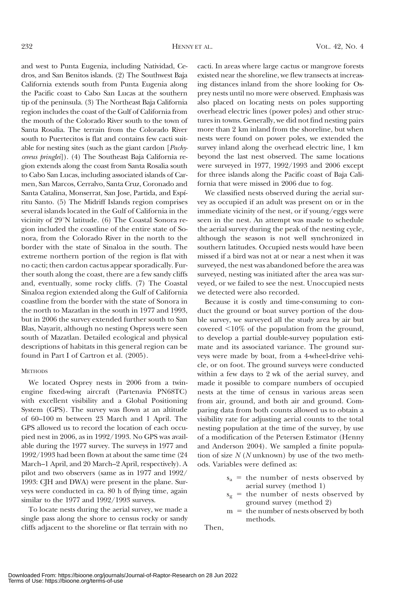and west to Punta Eugenia, including Natividad, Cedros, and San Benitos islands. (2) The Southwest Baja California extends south from Punta Eugenia along the Pacific coast to Cabo San Lucas at the southern tip of the peninsula. (3) The Northeast Baja California region includes the coast of the Gulf of California from the mouth of the Colorado River south to the town of Santa Rosalia. The terrain from the Colorado River south to Puertecitos is flat and contains few cacti suitable for nesting sites (such as the giant cardon [Pachycereus pringlei]). (4) The Southeast Baja California region extends along the coast from Santa Rosalia south to Cabo San Lucas, including associated islands of Carmen, San Marcos, Cerralvo, Santa Cruz, Coronado and Santa Catalina, Monserrat, San Jose, Partida, and Espíritu Santo. (5) The Midriff Islands region comprises several islands located in the Gulf of California in the vicinity of  $29^{\circ}$ N latitude. (6) The Coastal Sonora region included the coastline of the entire state of Sonora, from the Colorado River in the north to the border with the state of Sinaloa in the south. The extreme northern portion of the region is flat with no cacti; then cardon cactus appear sporadically. Further south along the coast, there are a few sandy cliffs and, eventually, some rocky cliffs. (7) The Coastal Sinaloa region extended along the Gulf of California coastline from the border with the state of Sonora in the north to Mazatlan in the south in 1977 and 1993, but in 2006 the survey extended further south to San Blas, Nayarit, although no nesting Ospreys were seen south of Mazatlan. Detailed ecological and physical descriptions of habitats in this general region can be found in Part I of Cartron et al. (2005).

#### **METHODS**

We located Osprey nests in 2006 from a twinengine fixed-wing aircraft (Partenavia PN68TC) with excellent visibility and a Global Positioning System (GPS). The survey was flown at an altitude of 60–100 m between 23 March and 1 April. The GPS allowed us to record the location of each occupied nest in 2006, as in 1992/1993. No GPS was available during the 1977 survey. The surveys in 1977 and 1992/1993 had been flown at about the same time (24 March–1 April, and 20 March–2 April, respectively). A pilot and two observers (same as in 1977 and 1992/ 1993: CJH and DWA) were present in the plane. Surveys were conducted in ca. 80 h of flying time, again similar to the 1977 and 1992/1993 surveys.

To locate nests during the aerial survey, we made a single pass along the shore to census rocky or sandy cliffs adjacent to the shoreline or flat terrain with no

cacti. In areas where large cactus or mangrove forests existed near the shoreline, we flew transects at increasing distances inland from the shore looking for Osprey nests until no more were observed. Emphasis was also placed on locating nests on poles supporting overhead electric lines (power poles) and other structures in towns. Generally, we did not find nesting pairs more than 2 km inland from the shoreline, but when nests were found on power poles, we extended the survey inland along the overhead electric line, 1 km beyond the last nest observed. The same locations were surveyed in 1977, 1992/1993 and 2006 except for three islands along the Pacific coast of Baja California that were missed in 2006 due to fog.

We classified nests observed during the aerial survey as occupied if an adult was present on or in the immediate vicinity of the nest, or if young/eggs were seen in the nest. An attempt was made to schedule the aerial survey during the peak of the nesting cycle, although the season is not well synchronized in southern latitudes. Occupied nests would have been missed if a bird was not at or near a nest when it was surveyed, the nest was abandoned before the area was surveyed, nesting was initiated after the area was surveyed, or we failed to see the nest. Unoccupied nests we detected were also recorded.

Because it is costly and time-consuming to conduct the ground or boat survey portion of the double survey, we surveyed all the study area by air but covered  $\leq 10\%$  of the population from the ground, to develop a partial double-survey population estimate and its associated variance. The ground surveys were made by boat, from a 4-wheel-drive vehicle, or on foot. The ground surveys were conducted within a few days to 2 wk of the aerial survey, and made it possible to compare numbers of occupied nests at the time of census in various areas seen from air, ground, and both air and ground. Comparing data from both counts allowed us to obtain a visibility rate for adjusting aerial counts to the total nesting population at the time of the survey, by use of a modification of the Petersen Estimator (Henny and Anderson 2004). We sampled a finite population of size  $N$  (N unknown) by use of the two methods. Variables were defined as:

- $s_a$  = the number of nests observed by aerial survey (method 1)
- $s_g$  = the number of nests observed by ground survey (method 2)
- $m = the number of nets observed by both$ methods.

Then,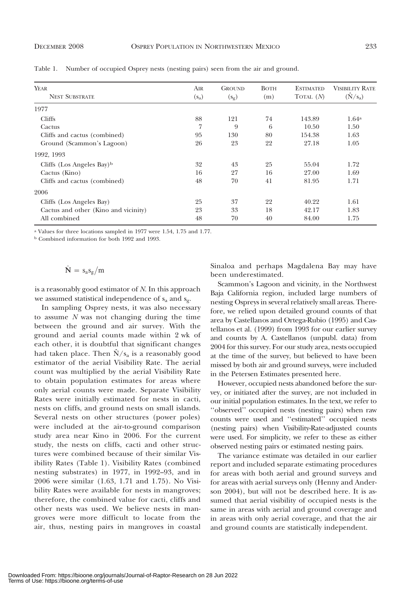| YEAR<br><b>NEST SUBSTRATE</b>         | Air<br>$(s_a)$ | <b>GROUND</b><br>$(s_g)$ | <b>BOTH</b><br>(m) | <b>ESTIMATED</b><br>TOTAL $(N)$ | <b>VISIBILITY RATE</b><br>$(\hat{N}/s_a)$ |
|---------------------------------------|----------------|--------------------------|--------------------|---------------------------------|-------------------------------------------|
| 1977                                  |                |                          |                    |                                 |                                           |
| <b>Cliffs</b>                         | 88             | 121                      | 74                 | 143.89                          | $1.64^{\rm a}$                            |
| Cactus                                | 7              | 9                        | 6                  | 10.50                           | 1.50                                      |
| Cliffs and cactus (combined)          | 95             | 130                      | 80                 | 154.38                          | 1.63                                      |
| Ground (Scammon's Lagoon)             | 26             | 23                       | 22                 | 27.18                           | 1.05                                      |
| 1992, 1993                            |                |                          |                    |                                 |                                           |
| Cliffs (Los Angeles Bay) <sup>b</sup> | 32             | 43                       | 25                 | 55.04                           | 1.72                                      |
| Cactus (Kino)                         | 16             | 27                       | 16                 | 27.00                           | 1.69                                      |
| Cliffs and cactus (combined)          | 48             | 70                       | 41                 | 81.95                           | 1.71                                      |
| 2006                                  |                |                          |                    |                                 |                                           |
| Cliffs (Los Angeles Bay)              | 25             | 37                       | 22                 | 40.22                           | 1.61                                      |
| Cactus and other (Kino and vicinity)  | 23             | 33                       | 18                 | 42.17                           | 1.83                                      |
| All combined                          | 48             | 70                       | 40                 | 84.00                           | 1.75                                      |

Table 1. Number of occupied Osprey nests (nesting pairs) seen from the air and ground.

<sup>a</sup> Values for three locations sampled in 1977 were 1.54, 1.75 and 1.77.

<sup>b</sup> Combined information for both 1992 and 1993.

# $\hat{\mathbf{N}} = s_a s_g / m$

is a reasonably good estimator of N. In this approach we assumed statistical independence of  $s_a$  and  $s_g$ .

In sampling Osprey nests, it was also necessary to assume  $N$  was not changing during the time between the ground and air survey. With the ground and aerial counts made within 2 wk of each other, it is doubtful that significant changes had taken place. Then  $N/s_a$  is a reasonably good estimator of the aerial Visibility Rate. The aerial count was multiplied by the aerial Visibility Rate to obtain population estimates for areas where only aerial counts were made. Separate Visibility Rates were initially estimated for nests in cacti, nests on cliffs, and ground nests on small islands. Several nests on other structures (power poles) were included at the air-to-ground comparison study area near Kino in 2006. For the current study, the nests on cliffs, cacti and other structures were combined because of their similar Visibility Rates (Table 1). Visibility Rates (combined nesting substrates) in 1977, in 1992–93, and in 2006 were similar (1.63, 1.71 and 1.75). No Visibility Rates were available for nests in mangroves; therefore, the combined value for cacti, cliffs and other nests was used. We believe nests in mangroves were more difficult to locate from the air, thus, nesting pairs in mangroves in coastal Sinaloa and perhaps Magdalena Bay may have been underestimated.

Scammon's Lagoon and vicinity, in the Northwest Baja California region, included large numbers of nesting Ospreys in several relatively small areas. Therefore, we relied upon detailed ground counts of that area by Castellanos and Ortega-Rubio (1995) and Castellanos et al. (1999) from 1993 for our earlier survey and counts by A. Castellanos (unpubl. data) from 2004 for this survey. For our study area, nests occupied at the time of the survey, but believed to have been missed by both air and ground surveys, were included in the Petersen Estimates presented here.

However, occupied nests abandoned before the survey, or initiated after the survey, are not included in our initial population estimates. In the text, we refer to ''observed'' occupied nests (nesting pairs) when raw counts were used and ''estimated'' occupied nests (nesting pairs) when Visibility-Rate-adjusted counts were used. For simplicity, we refer to these as either observed nesting pairs or estimated nesting pairs.

The variance estimate was detailed in our earlier report and included separate estimating procedures for areas with both aerial and ground surveys and for areas with aerial surveys only (Henny and Anderson 2004), but will not be described here. It is assumed that aerial visibility of occupied nests is the same in areas with aerial and ground coverage and in areas with only aerial coverage, and that the air and ground counts are statistically independent.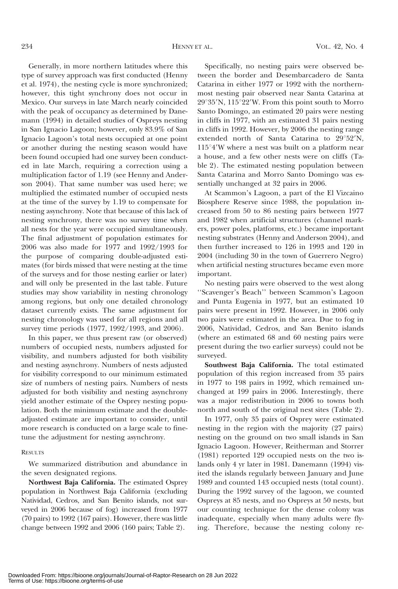Generally, in more northern latitudes where this type of survey approach was first conducted (Henny et al. 1974), the nesting cycle is more synchronized; however, this tight synchrony does not occur in Mexico. Our surveys in late March nearly coincided with the peak of occupancy as determined by Danemann (1994) in detailed studies of Ospreys nesting in San Ignacio Lagoon; however, only 83.9% of San Ignacio Lagoon's total nests occupied at one point or another during the nesting season would have been found occupied had one survey been conducted in late March, requiring a correction using a multiplication factor of 1.19 (see Henny and Anderson 2004). That same number was used here; we multiplied the estimated number of occupied nests at the time of the survey by 1.19 to compensate for nesting asynchrony. Note that because of this lack of nesting synchrony, there was no survey time when all nests for the year were occupied simultaneously. The final adjustment of population estimates for 2006 was also made for 1977 and 1992/1993 for the purpose of comparing double-adjusted estimates (for birds missed that were nesting at the time of the surveys and for those nesting earlier or later) and will only be presented in the last table. Future studies may show variability in nesting chronology among regions, but only one detailed chronology dataset currently exists. The same adjustment for nesting chronology was used for all regions and all survey time periods (1977, 1992/1993, and 2006).

In this paper, we thus present raw (or observed) numbers of occupied nests, numbers adjusted for visibility, and numbers adjusted for both visibility and nesting asynchrony. Numbers of nests adjusted for visibility correspond to our minimum estimated size of numbers of nesting pairs. Numbers of nests adjusted for both visibility and nesting asynchrony yield another estimate of the Osprey nesting population. Both the minimum estimate and the doubleadjusted estimate are important to consider, until more research is conducted on a large scale to finetune the adjustment for nesting asynchrony.

#### **RESULTS**

We summarized distribution and abundance in the seven designated regions.

Northwest Baja California. The estimated Osprey population in Northwest Baja California (excluding Natividad, Cedros, and San Benito islands, not surveyed in 2006 because of fog) increased from 1977 (70 pairs) to 1992 (167 pairs). However, there was little change between 1992 and 2006 (160 pairs; Table 2).

Specifically, no nesting pairs were observed between the border and Desembarcadero de Santa Catarina in either 1977 or 1992 with the northernmost nesting pair observed near Santa Catarina at  $29^{\circ}35'$ N,  $115^{\circ}22'$ W. From this point south to Morro Santo Domingo, an estimated 20 pairs were nesting in cliffs in 1977, with an estimated 31 pairs nesting in cliffs in 1992. However, by 2006 the nesting range extended north of Santa Catarina to 29°52'N,  $115^{\circ}4'W$  where a nest was built on a platform near a house, and a few other nests were on cliffs (Table 2). The estimated nesting population between Santa Catarina and Morro Santo Domingo was essentially unchanged at 32 pairs in 2006.

At Scammon's Lagoon, a part of the El Vizcaino Biosphere Reserve since 1988, the population increased from 50 to 86 nesting pairs between 1977 and 1982 when artificial structures (channel markers, power poles, platforms, etc.) became important nesting substrates (Henny and Anderson 2004), and then further increased to 126 in 1993 and 120 in 2004 (including 30 in the town of Guerrero Negro) when artificial nesting structures became even more important.

No nesting pairs were observed to the west along ''Scavenger's Beach'' between Scammon's Lagoon and Punta Eugenia in 1977, but an estimated 10 pairs were present in 1992. However, in 2006 only two pairs were estimated in the area. Due to fog in 2006, Natividad, Cedros, and San Benito islands (where an estimated 68 and 60 nesting pairs were present during the two earlier surveys) could not be surveyed.

Southwest Baja California. The total estimated population of this region increased from 35 pairs in 1977 to 198 pairs in 1992, which remained unchanged at 199 pairs in 2006. Interestingly, there was a major redistribution in 2006 to towns both north and south of the original nest sites (Table 2).

In 1977, only 35 pairs of Osprey were estimated nesting in the region with the majority (27 pairs) nesting on the ground on two small islands in San Ignacio Lagoon. However, Reitherman and Storrer (1981) reported 129 occupied nests on the two islands only 4 yr later in 1981. Danemann (1994) visited the islands regularly between January and June 1989 and counted 143 occupied nests (total count). During the 1992 survey of the lagoon, we counted Ospreys at 85 nests, and no Ospreys at 50 nests, but our counting technique for the dense colony was inadequate, especially when many adults were flying. Therefore, because the nesting colony re-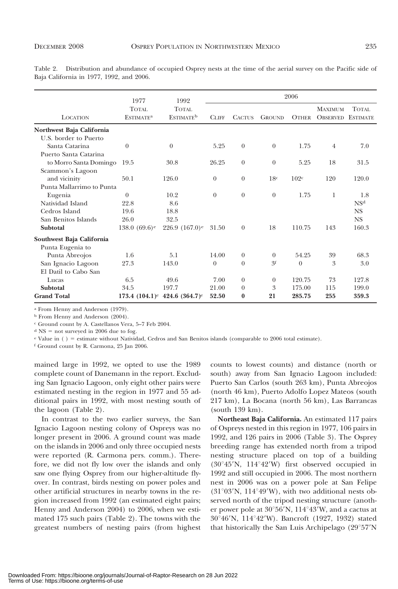Table 2. Distribution and abundance of occupied Osprey nests at the time of the aerial survey on the Pacific side of Baja California in 1977, 1992, and 2006.

|                           | 1977                                        | 1992                                  |              |               |               | 2006         |                                   |                           |
|---------------------------|---------------------------------------------|---------------------------------------|--------------|---------------|---------------|--------------|-----------------------------------|---------------------------|
| <b>LOCATION</b>           | <b>TOTAL</b><br><b>ESTIMATE<sup>a</sup></b> | TOTAL<br><b>ESTIMATE</b> <sup>b</sup> | <b>CLIFF</b> | <b>CACTUS</b> | <b>GROUND</b> | <b>OTHER</b> | <b>MAXIMUM</b><br><b>OBSERVED</b> | TOTAL.<br><b>ESTIMATE</b> |
| Northwest Baja California |                                             |                                       |              |               |               |              |                                   |                           |
| U.S. border to Puerto     |                                             |                                       |              |               |               |              |                                   |                           |
| Santa Catarina            | $\theta$                                    | $\theta$                              | 5.25         | $\theta$      | $\theta$      | 1.75         | $\overline{4}$                    | 7.0                       |
| Puerto Santa Catarina     |                                             |                                       |              |               |               |              |                                   |                           |
| to Morro Santa Domingo    | 19.5                                        | 30.8                                  | 26.25        | $\theta$      | $\theta$      | 5.25         | 18                                | 31.5                      |
| Scammon's Lagoon          |                                             |                                       |              |               |               |              |                                   |                           |
| and vicinity              | 50.1                                        | 126.0                                 | $\Omega$     | $\theta$      | 18c           | 102c         | 120                               | 120.0                     |
| Punta Mallarrimo to Punta |                                             |                                       |              |               |               |              |                                   |                           |
| Eugenia                   | $\Omega$                                    | 10.2                                  | $\theta$     | $\theta$      | $\theta$      | 1.75         | 1                                 | 1.8                       |
| Natividad Island          | 22.8                                        | 8.6                                   |              |               |               |              |                                   | NS <sup>d</sup>           |
| Cedros Island             | 19.6                                        | 18.8                                  |              |               |               |              |                                   | <b>NS</b>                 |
| San Benitos Islands       | 26.0                                        | 32.5                                  |              |               |               |              |                                   | NS.                       |
| Subtotal                  | 138.0 $(69.6)$ <sup>e</sup>                 | 226.9 $(167.0)^e$                     | 31.50        | $\theta$      | 18            | 110.75       | 143                               | 160.3                     |
| Southwest Baja California |                                             |                                       |              |               |               |              |                                   |                           |
| Punta Eugenia to          |                                             |                                       |              |               |               |              |                                   |                           |
| Punta Abreojos            | 1.6                                         | 5.1                                   | 14.00        | $\theta$      | $\theta$      | 54.25        | 39                                | 68.3                      |
| San Ignacio Lagoon        | 27.3                                        | 143.0                                 | $\theta$     | $\theta$      | 3f            | $\theta$     | 3                                 | 3.0                       |
| El Datil to Cabo San      |                                             |                                       |              |               |               |              |                                   |                           |
| Lucas                     | 6.5                                         | 49.6                                  | 7.00         | $\theta$      | $\theta$      | 120.75       | 73                                | 127.8                     |
| Subtotal                  | 34.5                                        | 197.7                                 | 21.00        | $\theta$      | 3             | 175.00       | 115                               | 199.0                     |
| <b>Grand Total</b>        |                                             | 173.4 $(104.1)^e$ 424.6 $(364.7)^e$   | 52.50        | $\bf{0}$      | 21            | 285.75       | 255                               | 359.3                     |

<sup>a</sup> From Henny and Anderson (1979).

<sup>b</sup> From Henny and Anderson (2004).

<sup>c</sup> Ground count by A. Castellanos Vera, 5–7 Feb 2004.

 $d$  NS = not surveyed in 2006 due to fog.

 $e$  Value in ( ) = estimate without Natividad, Cedros and San Benitos islands (comparable to 2006 total estimate).

<sup>f</sup> Ground count by R. Carmona, 25 Jan 2006.

mained large in 1992, we opted to use the 1989 complete count of Danemann in the report. Excluding San Ignacio Lagoon, only eight other pairs were estimated nesting in the region in 1977 and 55 additional pairs in 1992, with most nesting south of the lagoon (Table 2).

In contrast to the two earlier surveys, the San Ignacio Lagoon nesting colony of Ospreys was no longer present in 2006. A ground count was made on the islands in 2006 and only three occupied nests were reported (R. Carmona pers. comm.). Therefore, we did not fly low over the islands and only saw one flying Osprey from our higher-altitude flyover. In contrast, birds nesting on power poles and other artificial structures in nearby towns in the region increased from 1992 (an estimated eight pairs; Henny and Anderson 2004) to 2006, when we estimated 175 such pairs (Table 2). The towns with the greatest numbers of nesting pairs (from highest counts to lowest counts) and distance (north or south) away from San Ignacio Lagoon included: Puerto San Carlos (south 263 km), Punta Abreojos (north 46 km), Puerto Adolfo Lopez Mateos (south 217 km), La Bocana (north 56 km), Las Barrancas (south 139 km).

Northeast Baja California. An estimated 117 pairs of Ospreys nested in this region in 1977, 106 pairs in 1992, and 126 pairs in 2006 (Table 3). The Osprey breeding range has extended north from a tripod nesting structure placed on top of a building  $(30°45'N, 114°42'W)$  first observed occupied in 1992 and still occupied in 2006. The most northern nest in 2006 was on a power pole at San Felipe  $(31°03'N, 114°49'W)$ , with two additional nests observed north of the tripod nesting structure (another power pole at  $30^{\circ}56'$ N,  $114^{\circ}43'$ W, and a cactus at  $30^{\circ}46'$ N,  $114^{\circ}42'$ W). Bancroft (1927, 1932) stated that historically the San Luis Archipelago  $(29°57'N)$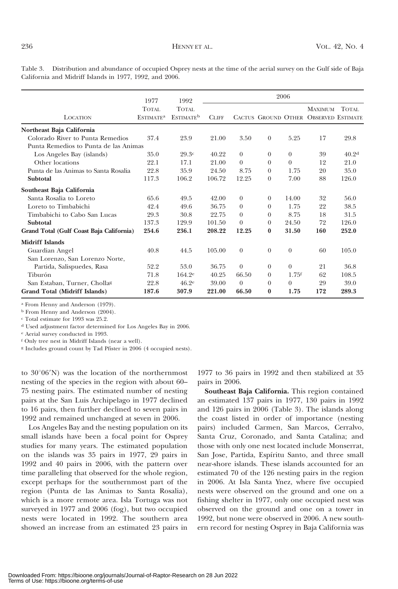Table 3. Distribution and abundance of occupied Osprey nests at the time of the aerial survey on the Gulf side of Baja California and Midriff Islands in 1977, 1992, and 2006.

|                                          | 1977                                 | 1992                                         |              |          |              | 2006                |                                                         |                   |
|------------------------------------------|--------------------------------------|----------------------------------------------|--------------|----------|--------------|---------------------|---------------------------------------------------------|-------------------|
| LOCATION                                 | TOTAL<br><b>ESTIMATE<sup>a</sup></b> | <b>TOTAL</b><br><b>ESTIMATE</b> <sup>b</sup> | <b>CLIFF</b> |          |              |                     | <b>MAXIMUM</b><br>CACTUS GROUND OTHER OBSERVED ESTIMATE | TOTAL.            |
| Northeast Baja California                |                                      |                                              |              |          |              |                     |                                                         |                   |
| Colorado River to Punta Remedios         | 37.4                                 | 23.9                                         | 21.00        | 3.50     | $\theta$     | 5.25                | 17                                                      | 29.8              |
| Punta Remedios to Punta de las Animas    |                                      |                                              |              |          |              |                     |                                                         |                   |
| Los Angeles Bay (islands)                | 35.0                                 | 29.3c                                        | 40.22        | $\theta$ | $\theta$     | $\theta$            | 39                                                      | 40.2 <sup>d</sup> |
| Other locations                          | 22.1                                 | 17.1                                         | 21.00        | $\Omega$ | $\theta$     | $\theta$            | 12                                                      | 21.0              |
| Punta de las Animas to Santa Rosalia     | 22.8                                 | 35.9                                         | 24.50        | 8.75     | $\theta$     | 1.75                | 20                                                      | 35.0              |
| Subtotal                                 | 117.3                                | 106.2                                        | 106.72       | 12.25    | $\theta$     | 7.00                | 88                                                      | 126.0             |
| Southeast Baja California                |                                      |                                              |              |          |              |                     |                                                         |                   |
| Santa Rosalia to Loreto                  | 65.6                                 | 49.5                                         | 42.00        | $\theta$ | $\theta$     | 14.00               | 32                                                      | 56.0              |
| Loreto to Timbabichi                     | 42.4                                 | 49.6                                         | 36.75        | $\theta$ | $\theta$     | 1.75                | 22                                                      | 38.5              |
| Timbabichi to Cabo San Lucas             | 29.3                                 | 30.8                                         | 22.75        | $\Omega$ | $\theta$     | 8.75                | 18                                                      | 31.5              |
| Subtotal                                 | 137.3                                | 129.9                                        | 101.50       | $\theta$ | $\theta$     | 24.50               | 72                                                      | 126.0             |
| Grand Total (Gulf Coast Baja California) | 254.6                                | 236.1                                        | 208.22       | 12.25    | $\mathbf{0}$ | 31.50               | 160                                                     | 252.0             |
| <b>Midriff Islands</b>                   |                                      |                                              |              |          |              |                     |                                                         |                   |
| Guardian Angel                           | 40.8                                 | 44.5                                         | 105.00       | $\theta$ | $\theta$     | $\theta$            | 60                                                      | 105.0             |
| San Lorenzo, San Lorenzo Norte,          |                                      |                                              |              |          |              |                     |                                                         |                   |
| Partida, Salispuedes, Rasa               | 52.2                                 | 53.0                                         | 36.75        | $\theta$ | $\theta$     | $\Omega$            | 21                                                      | 36.8              |
| Tiburón                                  | 71.8                                 | $164.2^e$                                    | 40.25        | 66.50    | $\theta$     | $1.75$ <sup>f</sup> | 62                                                      | 108.5             |
| San Estaban, Turner, Chollas             | 22.8                                 | 46.2 <sup>e</sup>                            | 39.00        | $\theta$ | $\theta$     | $\Omega$            | 29                                                      | 39.0              |
| Grand Total (Midriff Islands)            | 187.6                                | 307.9                                        | 221.00       | 66.50    | $\bf{0}$     | 1.75                | 172                                                     | 289.3             |

a From Henny and Anderson (1979).

<sup>b</sup> From Henny and Anderson (2004).

<sup>c</sup> Total estimate for 1993 was 25.2.

<sup>d</sup> Used adjustment factor determined for Los Angeles Bay in 2006.

<sup>e</sup> Aerial survey conducted in 1993.

<sup>f</sup> Only tree nest in Midriff Islands (near a well).

g Includes ground count by Tad Pfister in 2006 (4 occupied nests).

to  $30^{\circ}06'$ N) was the location of the northernmost nesting of the species in the region with about 60– 75 nesting pairs. The estimated number of nesting pairs at the San Luis Archipelago in 1977 declined to 16 pairs, then further declined to seven pairs in 1992 and remained unchanged at seven in 2006.

Los Angeles Bay and the nesting population on its small islands have been a focal point for Osprey studies for many years. The estimated population on the islands was 35 pairs in 1977, 29 pairs in 1992 and 40 pairs in 2006, with the pattern over time paralleling that observed for the whole region, except perhaps for the southernmost part of the region (Punta de las Animas to Santa Rosalia), which is a more remote area. Isla Tortuga was not surveyed in 1977 and 2006 (fog), but two occupied nests were located in 1992. The southern area showed an increase from an estimated 23 pairs in

1977 to 36 pairs in 1992 and then stabilized at 35 pairs in 2006.

Southeast Baja California. This region contained an estimated 137 pairs in 1977, 130 pairs in 1992 and 126 pairs in 2006 (Table 3). The islands along the coast listed in order of importance (nesting pairs) included Carmen, San Marcos, Cerralvo, Santa Cruz, Coronado, and Santa Catalina; and those with only one nest located include Monserrat, San Jose, Partida, Espíritu Santo, and three small near-shore islands. These islands accounted for an estimated 70 of the 126 nesting pairs in the region in 2006. At Isla Santa Ynez, where five occupied nests were observed on the ground and one on a fishing shelter in 1977, only one occupied nest was observed on the ground and one on a tower in 1992, but none were observed in 2006. A new southern record for nesting Osprey in Baja California was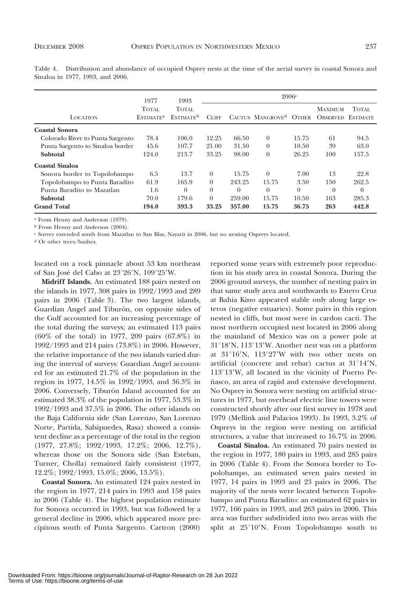Table 4. Distribution and abundance of occupied Osprey nests at the time of the aerial survey in coastal Sonora and Sinaloa in 1977, 1993, and 2006.

|                                  | 1977                                        | 1993<br>TOTAL.<br><b>ESTIMATE</b> <sup>b</sup> | 2006c        |          |                              |              |                                            |          |  |
|----------------------------------|---------------------------------------------|------------------------------------------------|--------------|----------|------------------------------|--------------|--------------------------------------------|----------|--|
| <b>LOCATION</b>                  | <b>TOTAL</b><br><b>ESTIMATE<sup>a</sup></b> |                                                | <b>CLIFF</b> |          | CACTUS MANGROVE <sup>d</sup> | <b>OTHER</b> | <b>MAXIMUM</b><br><b>OBSERVED ESTIMATE</b> | TOTAL.   |  |
| <b>Coastal Sonora</b>            |                                             |                                                |              |          |                              |              |                                            |          |  |
| Colorado River to Punta Sargento | 78.4                                        | 106.0                                          | 12.25        | 66.50    | $\theta$                     | 15.75        | 61                                         | 94.5     |  |
| Punta Sargento to Sinaloa border | 45.6                                        | 107.7                                          | 21.00        | 31.50    | $\Omega$                     | 10.50        | 39                                         | 63.0     |  |
| Subtotal                         | 124.0                                       | 213.7                                          | 33.25        | 98.00    | $\theta$                     | 26.25        | 100                                        | 157.5    |  |
| Coastal Sinaloa                  |                                             |                                                |              |          |                              |              |                                            |          |  |
| Sonora border to Topolobampo     | 6.5                                         | 13.7                                           | $\theta$     | 15.75    | $\Omega$                     | 7.00         | 13                                         | 22.8     |  |
| Topolobampo to Punta Baradito    | 61.9                                        | 165.9                                          | $\Omega$     | 243.25   | 15.75                        | 3.50         | 150                                        | 262.5    |  |
| Punta Baradito to Mazatlan       | 1.6                                         | $\theta$                                       | $\theta$     | $\Omega$ | $\theta$                     | $\Omega$     | $\theta$                                   | $\theta$ |  |
| Subtotal                         | 70.0                                        | 179.6                                          | $\Omega$     | 259.00   | 15.75                        | 10.50        | 163                                        | 285.3    |  |
| <b>Grand Total</b>               | 194.0                                       | 393.3                                          | 33.25        | 357.00   | 15.75                        | 36.75        | 263                                        | 442.8    |  |

<sup>a</sup> From Henny and Anderson (1979).

<sup>b</sup> From Henny and Anderson (2004).

<sup>c</sup> Survey extended south from Mazatlan to San Blas, Nayarit in 2006, but no nesting Ospreys located.

d Or other trees/bushes.

located on a rock pinnacle about 53 km northeast of San José del Cabo at 23°26'N, 109°25'W.

Midriff Islands. An estimated 188 pairs nested on the islands in 1977, 308 pairs in 1992/1993 and 289 pairs in 2006 (Table 3). The two largest islands, Guardian Angel and Tiburón, on opposite sides of the Gulf accounted for an increasing percentage of the total during the surveys; an estimated 113 pairs (60% of the total) in 1977, 209 pairs (67.8%) in 1992/1993 and 214 pairs (73.8%) in 2006. However, the relative importance of the two islands varied during the interval of surveys: Guardian Angel accounted for an estimated 21.7% of the population in the region in 1977, 14.5% in 1992/1993, and 36.3% in 2006. Conversely, Tiburón Island accounted for an estimated 38.3% of the population in 1977, 53.3% in 1992/1993 and 37.5% in 2006. The other islands on the Baja California side (San Lorenzo, San Lorenzo Norte, Partida, Salsipuedes, Rasa) showed a consistent decline as a percentage of the total in the region (1977, 27.8%; 1992/1993, 17.2%; 2006, 12.7%), whereas those on the Sonora side (San Esteban, Turner, Cholla) remained fairly consistent (1977, 12.2%; 1992/1993, 15.0%; 2006, 13.5%).

Coastal Sonora. An estimated 124 pairs nested in the region in 1977, 214 pairs in 1993 and 158 pairs in 2006 (Table 4). The highest population estimate for Sonora occurred in 1993, but was followed by a general decline in 2006, which appeared more precipitous south of Punta Sargento. Cartron (2000)

reported some years with extremely poor reproduction in his study area in coastal Sonora. During the 2006 ground surveys, the number of nesting pairs in that same study area and southwards to Estero Cruz at Bahia Kino appeared stable only along large esteros (negative estuaries). Some pairs in this region nested in cliffs, but most were in cardon cacti. The most northern occupied nest located in 2006 along the mainland of Mexico was on a power pole at  $31^{\circ}18'$ N,  $113^{\circ}13'$ W. Another nest was on a platform at  $31^{\circ}16'$ N,  $113^{\circ}27'$ W with two other nests on artificial (concrete and rebar) cactus at  $31^{\circ}14'N$ ,  $113^{\circ}13'$ W, all located in the vicinity of Puerto Peñasco, an area of rapid and extensive development. No Osprey in Sonora were nesting on artificial structures in 1977, but overhead electric line towers were constructed shortly after our first survey in 1978 and 1979 (Mellink and Palacios 1993). In 1993, 3.2% of Ospreys in the region were nesting on artificial structures, a value that increased to 16.7% in 2006.

Coastal Sinaloa. An estimated 70 pairs nested in the region in 1977, 180 pairs in 1993, and 285 pairs in 2006 (Table 4). From the Sonora border to Topolobampo, an estimated seven pairs nested in 1977, 14 pairs in 1993 and 23 pairs in 2006. The majority of the nests were located between Topolobampo and Punta Baradito: an estimated 62 pairs in 1977, 166 pairs in 1993, and 263 pairs in 2006. This area was further subdivided into two areas with the split at  $25^{\circ}10^{\prime}$ N. From Topolobampo south to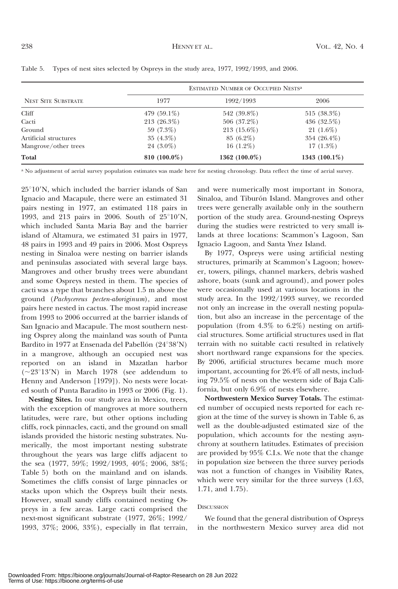|                            | ESTIMATED NUMBER OF OCCUPIED NESTS <sup>a</sup> |                  |                  |  |  |  |  |
|----------------------------|-------------------------------------------------|------------------|------------------|--|--|--|--|
| <b>NEST SITE SUBSTRATE</b> | 1977                                            | 1992/1993        | 2006             |  |  |  |  |
| Cliff                      | 479 $(59.1\%)$                                  | 542 (39.8%)      | $515(38.3\%)$    |  |  |  |  |
| Cacti                      | $213(26.3\%)$                                   | 506 $(37.2\%)$   | 436 $(32.5\%)$   |  |  |  |  |
| Ground                     | 59 $(7.3\%)$                                    | $213(15.6\%)$    | $21(1.6\%)$      |  |  |  |  |
| Artificial structures      | $35(4.3\%)$                                     | $85(6.2\%)$      | 354 $(26.4\%)$   |  |  |  |  |
| Mangrove/other trees       | $24(3.0\%)$                                     | $16(1.2\%)$      | $17(1.3\%)$      |  |  |  |  |
| Total                      | 810 $(100.0\%)$                                 | 1362 $(100.0\%)$ | 1343 $(100.1\%)$ |  |  |  |  |

|  |  |  |  |  |  | Table 5. Types of nest sites selected by Ospreys in the study area, 1977, 1992/1993, and 2006. |  |
|--|--|--|--|--|--|------------------------------------------------------------------------------------------------|--|
|--|--|--|--|--|--|------------------------------------------------------------------------------------------------|--|

a No adjustment of aerial survey population estimates was made here for nesting chronology. Data reflect the time of aerial survey.

 $25^{\circ}10^{\prime}$ N, which included the barrier islands of San Ignacio and Macapule, there were an estimated 31 pairs nesting in 1977, an estimated 118 pairs in 1993, and 213 pairs in 2006. South of  $25^{\circ}10'$ N, which included Santa Maria Bay and the barrier island of Altamura, we estimated 31 pairs in 1977, 48 pairs in 1993 and 49 pairs in 2006. Most Ospreys nesting in Sinaloa were nesting on barrier islands and peninsulas associated with several large bays. Mangroves and other brushy trees were abundant and some Ospreys nested in them. The species of cacti was a type that branches about 1.5 m above the ground (Pachycereus pecten-aboriginum), and most pairs here nested in cactus. The most rapid increase from 1993 to 2006 occurred at the barrier islands of San Ignacio and Macapule. The most southern nesting Osprey along the mainland was south of Punta Bardito in 1977 at Ensenada del Pabellón (24°38'N) in a mangrove, although an occupied nest was reported on an island in Mazatlan harbor  $(-23^{\circ}13'N)$  in March 1978 (see addendum to Henny and Anderson [1979]). No nests were located south of Punta Baradito in 1993 or 2006 (Fig. 1).

Nesting Sites. In our study area in Mexico, trees, with the exception of mangroves at more southern latitudes, were rare, but other options including cliffs, rock pinnacles, cacti, and the ground on small islands provided the historic nesting substrates. Numerically, the most important nesting substrate throughout the years was large cliffs adjacent to the sea (1977, 59%; 1992/1993, 40%; 2006, 38%; Table 5) both on the mainland and on islands. Sometimes the cliffs consist of large pinnacles or stacks upon which the Ospreys built their nests. However, small sandy cliffs contained nesting Ospreys in a few areas. Large cacti comprised the next-most significant substrate (1977, 26%; 1992/ 1993, 37%; 2006, 33%), especially in flat terrain, and were numerically most important in Sonora, Sinaloa, and Tiburón Island. Mangroves and other trees were generally available only in the southern portion of the study area. Ground-nesting Ospreys during the studies were restricted to very small islands at three locations: Scammon's Lagoon, San Ignacio Lagoon, and Santa Ynez Island.

By 1977, Ospreys were using artificial nesting structures, primarily at Scammon's Lagoon; however, towers, pilings, channel markers, debris washed ashore, boats (sunk and aground), and power poles were occasionally used at various locations in the study area. In the 1992/1993 survey, we recorded not only an increase in the overall nesting population, but also an increase in the percentage of the population (from  $4.3\%$  to  $6.2\%$ ) nesting on artificial structures. Some artificial structures used in flat terrain with no suitable cacti resulted in relatively short northward range expansions for the species. By 2006, artificial structures became much more important, accounting for 26.4% of all nests, including 79.5% of nests on the western side of Baja California, but only 6.9% of nests elsewhere.

Northwestern Mexico Survey Totals. The estimated number of occupied nests reported for each region at the time of the survey is shown in Table 6, as well as the double-adjusted estimated size of the population, which accounts for the nesting asynchrony at southern latitudes. Estimates of precision are provided by 95% C.I.s. We note that the change in population size between the three survey periods was not a function of changes in Visibility Rates, which were very similar for the three surveys (1.63, 1.71, and 1.75).

### **DISCUSSION**

We found that the general distribution of Ospreys in the northwestern Mexico survey area did not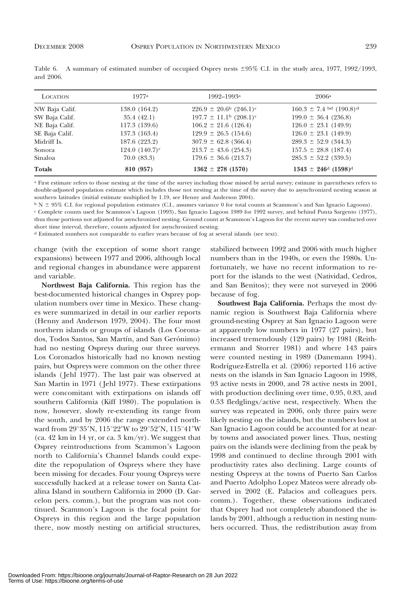| <b>LOCATION</b> | 1977a             | 1992–1993 <sup>a</sup>                        | 2006a                                         |
|-----------------|-------------------|-----------------------------------------------|-----------------------------------------------|
| NW Baja Calif.  | 138.0 (164.2)     | $226.9 \pm 20.6^{\rm b}$ (246.1) <sup>c</sup> | $160.3 \pm 7.4$ bd $(190.8)$ <sup>d</sup>     |
| SW Baja Calif.  | 35.4(42.1)        | $197.7 \pm 11.1^{\circ}$ (208.1) <sup>c</sup> | $199.0 \pm 36.4$ (236.8)                      |
| NE Baja Calif.  | 117.3(139.6)      | $106.2 \pm 21.6$ (126.4)                      | $126.0 \pm 23.1$ (149.9)                      |
| SE Baja Calif.  | 137.3 (163.4)     | $129.9 \pm 26.5$ (154.6)                      | $126.0 \pm 23.1$ (149.9)                      |
| Midriff Is.     | 187.6 (223.2)     | $307.9 \pm 62.8$ (366.4)                      | $289.3 \pm 52.9$ (344.3)                      |
| Sonora          | 124.0 $(140.7)^c$ | $213.7 \pm 43.6$ (254.3)                      | $157.5 \pm 28.8$ (187.4)                      |
| Sinaloa         | 70.0(83.3)        | $179.6 \pm 36.6$ (213.7)                      | $285.3 \pm 52.2$ (339.5)                      |
| <b>Totals</b>   | 810 (957)         | $1362 \pm 278$ (1570)                         | $1343 \pm 246^{\text{d}}$ (1598) <sup>d</sup> |

Table 6. A summary of estimated number of occupied Osprey nests  $\pm 95\%$  C.I. in the study area, 1977, 1992/1993, and 2006.

<sup>a</sup> First estimate refers to those nesting at the time of the survey including those missed by aerial survey; estimate in parentheses refers to double-adjusted population estimate which includes those not nesting at the time of the survey due to asynchronized nesting season at southern latitudes (initial estimate multiplied by 1.19, see Henny and Anderson 2004).

 $b$  N  $\pm$  95% C.I. for regional population estimates (C.I., assumes variance 0 for total counts at Scammon's and San Ignacio Lagoons). <sup>c</sup> Complete counts used for Scammon's Lagoon (1993), San Ignacio Lagoon 1989 for 1992 survey, and behind Punta Sargento (1977),

thus those portions not adjusted for asynchronized nesting. Ground count at Scammon's Lagoon for the recent survey was conducted over short time interval, therefore, counts adjusted for asynchronized nesting.

d Estimated numbers not comparable to earlier years because of fog at several islands (see text).

change (with the exception of some short range expansions) between 1977 and 2006, although local and regional changes in abundance were apparent and variable.

Northwest Baja California. This region has the best-documented historical changes in Osprey population numbers over time in Mexico. These changes were summarized in detail in our earlier reports (Henny and Anderson 1979, 2004). The four most northern islands or groups of islands (Los Coronados, Todos Santos, San Martín, and San Gerónimo) had no nesting Ospreys during our three surveys. Los Coronados historically had no known nesting pairs, but Ospreys were common on the other three islands ( Jehl 1977). The last pair was observed at San Martin in 1971 ( Jehl 1977). These extirpations were concomitant with extirpations on islands off southern California (Kiff 1980). The population is now, however, slowly re-extending its range from the south, and by 2006 the range extended northward from  $29^{\circ}35'$ N,  $115^{\circ}22'$ W to  $29^{\circ}52'$ N,  $115^{\circ}41'$ W (ca. 42 km in 14 yr, or ca. 3 km/yr). We suggest that Osprey reintroductions from Scammon's Lagoon north to California's Channel Islands could expedite the repopulation of Ospreys where they have been missing for decades. Four young Ospreys were successfully hacked at a release tower on Santa Catalina Island in southern California in 2000 (D. Garcelon pers. comm.), but the program was not continued. Scammon's Lagoon is the focal point for Ospreys in this region and the large population there, now mostly nesting on artificial structures, stabilized between 1992 and 2006 with much higher numbers than in the 1940s, or even the 1980s. Unfortunately, we have no recent information to report for the islands to the west (Natividad, Cedros, and San Benitos); they were not surveyed in 2006 because of fog.

Southwest Baja California. Perhaps the most dynamic region is Southwest Baja California where ground-nesting Osprey at San Ignacio Lagoon were at apparently low numbers in 1977 (27 pairs), but increased tremendously (129 pairs) by 1981 (Reithermann and Storrer 1981) and where 143 pairs were counted nesting in 1989 (Danemann 1994). Rodríguez-Estrella et al. (2006) reported 116 active nests on the islands in San Ignacio Lagoon in 1998, 93 active nests in 2000, and 78 active nests in 2001, with production declining over time, 0.95, 0.83, and 0.53 fledglings/active nest, respectively. When the survey was repeated in 2006, only three pairs were likely nesting on the islands, but the numbers lost at San Ignacio Lagoon could be accounted for at nearby towns and associated power lines. Thus, nesting pairs on the islands were declining from the peak by 1998 and continued to decline through 2001 with productivity rates also declining. Large counts of nesting Ospreys at the towns of Puerto San Carlos and Puerto Adolpho Lopez Mateos were already observed in 2002 (E. Palacios and colleagues pers. comm.). Together, these observations indicated that Osprey had not completely abandoned the islands by 2001, although a reduction in nesting numbers occurred. Thus, the redistribution away from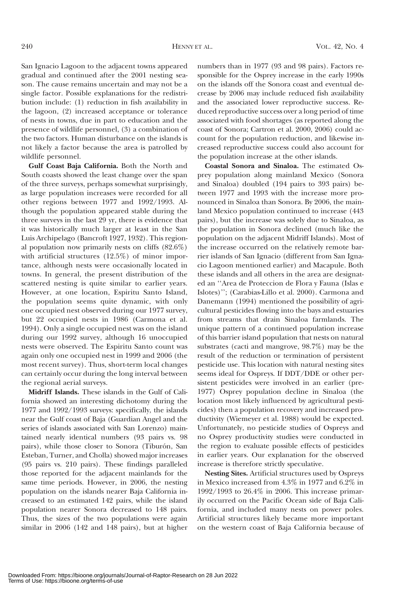San Ignacio Lagoon to the adjacent towns appeared gradual and continued after the 2001 nesting season. The cause remains uncertain and may not be a single factor. Possible explanations for the redistribution include: (1) reduction in fish availability in the lagoon, (2) increased acceptance or tolerance of nests in towns, due in part to education and the presence of wildlife personnel, (3) a combination of the two factors. Human disturbance on the islands is not likely a factor because the area is patrolled by wildlife personnel.

Gulf Coast Baja California. Both the North and South coasts showed the least change over the span of the three surveys, perhaps somewhat surprisingly, as large population increases were recorded for all other regions between 1977 and 1992/1993. Although the population appeared stable during the three surveys in the last 29 yr, there is evidence that it was historically much larger at least in the San Luis Archipelago (Bancroft 1927, 1932). This regional population now primarily nests on cliffs (82.6%) with artificial structures (12.5%) of minor importance, although nests were occasionally located in towns. In general, the present distribution of the scattered nesting is quite similar to earlier years. However, at one location, Espiritu Santo Island, the population seems quite dynamic, with only one occupied nest observed during our 1977 survey, but 22 occupied nests in 1986 (Carmona et al. 1994). Only a single occupied nest was on the island during our 1992 survey, although 16 unoccupied nests were observed. The Espiritu Santo count was again only one occupied nest in 1999 and 2006 (the most recent survey). Thus, short-term local changes can certainly occur during the long interval between the regional aerial surveys.

Midriff Islands. These islands in the Gulf of California showed an interesting dichotomy during the 1977 and 1992/1993 surveys: specifically, the islands near the Gulf coast of Baja (Guardian Angel and the series of islands associated with San Lorenzo) maintained nearly identical numbers (93 pairs vs. 98 pairs), while those closer to Sonora (Tiburón, San Esteban, Turner, and Cholla) showed major increases (95 pairs vs. 210 pairs). These findings paralleled those reported for the adjacent mainlands for the same time periods. However, in 2006, the nesting population on the islands nearer Baja California increased to an estimated 142 pairs, while the island population nearer Sonora decreased to 148 pairs. Thus, the sizes of the two populations were again similar in 2006 (142 and 148 pairs), but at higher

numbers than in 1977 (93 and 98 pairs). Factors responsible for the Osprey increase in the early 1990s on the islands off the Sonora coast and eventual decrease by 2006 may include reduced fish availability and the associated lower reproductive success. Reduced reproductive success over a long period of time associated with food shortages (as reported along the coast of Sonora; Cartron et al. 2000, 2006) could account for the population reduction, and likewise increased reproductive success could also account for the population increase at the other islands.

Coastal Sonora and Sinaloa. The estimated Osprey population along mainland Mexico (Sonora and Sinaloa) doubled (194 pairs to 393 pairs) between 1977 and 1993 with the increase more pronounced in Sinaloa than Sonora. By 2006, the mainland Mexico population continued to increase (443 pairs), but the increase was solely due to Sinaloa, as the population in Sonora declined (much like the population on the adjacent Midriff Islands). Most of the increase occurred on the relatively remote barrier islands of San Ignacio (different from San Ignacio Lagoon mentioned earlier) and Macapule. Both these islands and all others in the area are designated an ''Area de Proteccion de Flora y Fauna (Islas e Islotes)''; (Carabias-Lillo et al. 2000). Carmona and Danemann (1994) mentioned the possibility of agricultural pesticides flowing into the bays and estuaries from streams that drain Sinaloa farmlands. The unique pattern of a continued population increase of this barrier island population that nests on natural substrates (cacti and mangrove, 98.7%) may be the result of the reduction or termination of persistent pesticide use. This location with natural nesting sites seems ideal for Ospreys. If DDT/DDE or other persistent pesticides were involved in an earlier (pre-1977) Osprey population decline in Sinaloa (the location most likely influenced by agricultural pesticides) then a population recovery and increased productivity (Wiemeyer et al. 1988) would be expected. Unfortunately, no pesticide studies of Ospreys and no Osprey productivity studies were conducted in the region to evaluate possible effects of pesticides in earlier years. Our explanation for the observed increase is therefore strictly speculative.

Nesting Sites. Artificial structures used by Ospreys in Mexico increased from 4.3% in 1977 and 6.2% in 1992/1993 to 26.4% in 2006. This increase primarily occurred on the Pacific Ocean side of Baja California, and included many nests on power poles. Artificial structures likely became more important on the western coast of Baja California because of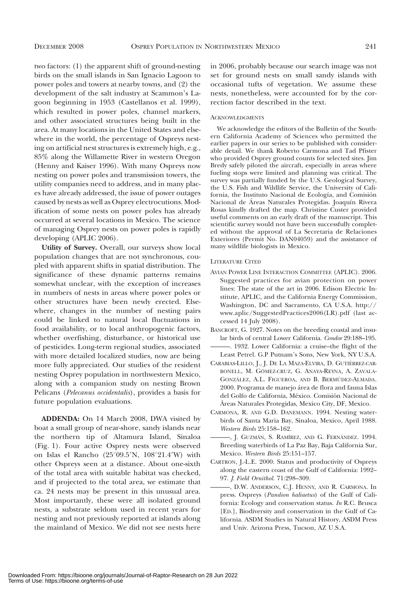two factors: (1) the apparent shift of ground-nesting birds on the small islands in San Ignacio Lagoon to power poles and towers at nearby towns, and (2) the development of the salt industry at Scammon's Lagoon beginning in 1953 (Castellanos et al. 1999), which resulted in power poles, channel markers, and other associated structures being built in the area. At many locations in the United States and elsewhere in the world, the percentage of Ospreys nesting on artificial nest structures is extremely high, e.g., 85% along the Willamette River in western Oregon (Henny and Kaiser 1996). With many Ospreys now nesting on power poles and transmission towers, the utility companies need to address, and in many places have already addressed, the issue of power outages caused by nests as well as Osprey electrocutions. Modification of some nests on power poles has already occurred at several locations in Mexico. The science of managing Osprey nests on power poles is rapidly developing (APLIC 2006).

Utility of Survey. Overall, our surveys show local population changes that are not synchronous, coupled with apparent shifts in spatial distribution. The significance of these dynamic patterns remains somewhat unclear, with the exception of increases in numbers of nests in areas where power poles or other structures have been newly erected. Elsewhere, changes in the number of nesting pairs could be linked to natural local fluctuations in food availability, or to local anthropogenic factors, whether overfishing, disturbance, or historical use of pesticides. Long-term regional studies, associated with more detailed localized studies, now are being more fully appreciated. Our studies of the resident nesting Osprey population in northwestern Mexico, along with a companion study on nesting Brown Pelicans (Pelecanus occidentalis), provides a basis for future population evaluations.

ADDENDA: On 14 March 2008, DWA visited by boat a small group of near-shore, sandy islands near the northern tip of Altamura Island, Sinaloa (Fig. 1). Four active Osprey nests were observed on Islas el Rancho (25°09.5'N,  $108°21.4'W$ ) with other Ospreys seen at a distance. About one-sixth of the total area with suitable habitat was checked, and if projected to the total area, we estimate that ca. 24 nests may be present in this unusual area. Most importantly, these were all isolated ground nests, a substrate seldom used in recent years for nesting and not previously reported at islands along the mainland of Mexico. We did not see nests here in 2006, probably because our search image was not set for ground nests on small sandy islands with occasional tufts of vegetation. We assume these nests, nonetheless, were accounted for by the correction factor described in the text.

#### ACKNOWLEDGMENTS

We acknowledge the editors of the Bulletin of the Southern California Academy of Sciences who permitted the earlier papers in our series to be published with considerable detail. We thank Roberto Carmona and Tad Pfister who provided Osprey ground counts for selected sites. Jim Bredy safely piloted the aircraft, especially in areas where fueling stops were limited and planning was critical. The survey was partially funded by the U.S. Geological Survey, the U.S. Fish and Wildlife Service, the University of California, the Instituto Nacional de Ecología, and Comisión Nacional de Áreas Naturales Protegidas. Joaquín Rivera Rosas kindly drafted the map. Christine Custer provided useful comments on an early draft of the manuscript. This scientific survey would not have been successfully completed without the approval of La Secretaria de Relaciones Exteriores (Permit No. DAN04059) and the assistance of many wildlife biologists in Mexico.

#### LITERATURE CITED

- AVIAN POWER LINE INTERACTION COMMITTEE (APLIC). 2006. Suggested practices for avian protection on power lines: The state of the art in 2006. Edison Electric Institute, APLIC, and the California Energy Commission, Washington, DC and Sacramento, CA U.S.A. http:// www.aplic/SuggestedPractices2006(LR).pdf (last accessed 14 July 2008).
- BANCROFT, G. 1927. Notes on the breeding coastal and insular birds of central Lower California. Condor 29:188–195.
- ———. 1932. Lower California: a cruise–the flight of the Least Petrel. G.P Putnam's Sons, New York, NY U.S.A.
- CARABIAS-LILLO, J., J. DE LA MAZA-ELVIRA, D. GUTIÉRREZ-CAR-BONELL, M. GÓMEZ-CRUZ, G. ANAYA-REYNA, A. ZAVALA-GONZÁLEZ, A.L. FIGUEROA, AND B. BERMÚDEZ-ALMADA. 2000. Programa de manejo área de flora and fauna Islas del Golfo de California, México. Comisión Nacional de A´reas Naturales Protegidas, Mexico City, DF, Mexico.
- CARMONA, R. AND G.D. DANEMANN. 1994. Nesting waterbirds of Santa Maria Bay, Sinaloa, Mexico, April 1988. Western Birds 25:158–162.
- -, J. GUZMÁN, S. RAMÍREZ, AND G. FERNÁNDEZ. 1994. Breeding waterbirds of La Paz Bay, Baja California Sur, Mexico. Western Birds 25:151–157.
- CARTRON, J.-L.E. 2000. Status and productivity of Ospreys along the eastern coast of the Gulf of California: 1992– 97. J. Field Ornithol. 71:298–309.
- ———, D.W. ANDERSON, C.J. HENNY, AND R. CARMONA. In press. Ospreys (Pandion haliaetus) of the Gulf of California: Ecology and conservation status. In R.C. Brusca [ED.], Biodiversity and conservation in the Gulf of California. ASDM Studies in Natural History, ASDM Press and Univ. Arizona Press, Tucson, AZ U.S.A.